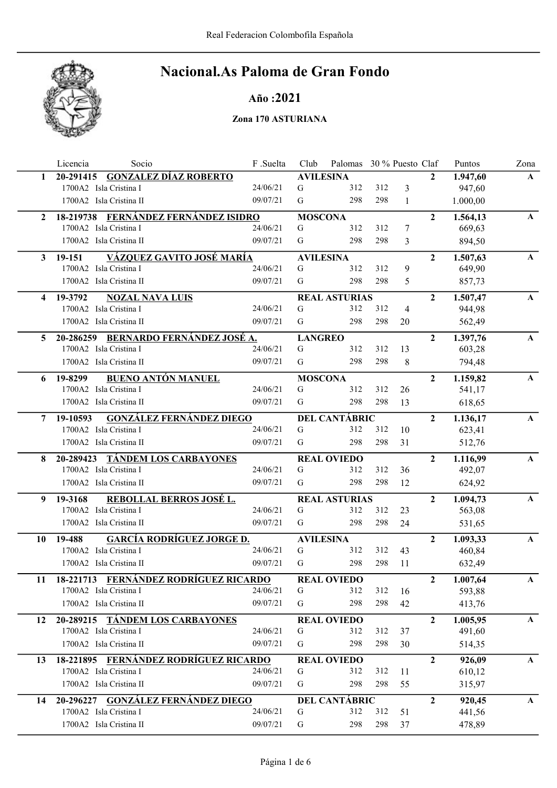

### Año :2021

|              | Licencia<br>Socio                           | F .Suelta | Club             | Palomas 30 % Puesto Claf |     |                |                | Puntos   | Zona         |
|--------------|---------------------------------------------|-----------|------------------|--------------------------|-----|----------------|----------------|----------|--------------|
| 1            | <b>GONZALEZ DÍAZ ROBERTO</b><br>20-291415   |           | <b>AVILESINA</b> |                          |     |                | $\mathbf{2}$   | 1.947,60 | $\mathbf{A}$ |
|              | 1700A2 Isla Cristina I                      | 24/06/21  | G                | 312                      | 312 | 3              |                | 947,60   |              |
|              | 1700A2 Isla Cristina II                     | 09/07/21  | G                | 298                      | 298 | $\mathbf{1}$   |                | 1.000,00 |              |
| $\mathbf{2}$ | 18-219738 FERNÁNDEZ FERNÁNDEZ ISIDRO        |           | <b>MOSCONA</b>   |                          |     |                | $\overline{2}$ | 1.564,13 | $\mathbf{A}$ |
|              | 1700A2 Isla Cristina I                      | 24/06/21  | G                | 312                      | 312 | 7              |                | 669,63   |              |
|              | 1700A2 Isla Cristina II                     | 09/07/21  | G                | 298                      | 298 | 3              |                | 894,50   |              |
| 3            | VÁZQUEZ GAVITO JOSÉ MARÍA<br>19-151         |           | <b>AVILESINA</b> |                          |     |                | $\mathbf{2}$   | 1.507,63 | $\mathbf{A}$ |
|              | 1700A2 Isla Cristina I                      | 24/06/21  | G                | 312                      | 312 | 9              |                | 649,90   |              |
|              | 1700A2 Isla Cristina II                     | 09/07/21  | G                | 298                      | 298 | 5              |                | 857,73   |              |
| 4            | <b>NOZAL NAVA LUIS</b><br>19-3792           |           |                  | <b>REAL ASTURIAS</b>     |     |                | $\overline{2}$ | 1.507,47 | $\mathbf{A}$ |
|              | 1700A2 Isla Cristina I                      | 24/06/21  | G                | 312                      | 312 | $\overline{4}$ |                | 944,98   |              |
|              | 1700A2 Isla Cristina II                     | 09/07/21  | G                | 298                      | 298 | 20             |                | 562,49   |              |
| 5.           | 20-286259 BERNARDO FERNÁNDEZ JOSÉ A.        |           | <b>LANGREO</b>   |                          |     |                | $\mathbf{2}$   | 1.397,76 | $\mathbf{A}$ |
|              | 1700A2 Isla Cristina I                      | 24/06/21  | G                | 312                      | 312 | 13             |                | 603,28   |              |
|              | 1700A2 Isla Cristina II                     | 09/07/21  | G                | 298                      | 298 | 8              |                | 794,48   |              |
| 6            | <b>BUENO ANTÓN MANUEL</b><br>19-8299        |           | <b>MOSCONA</b>   |                          |     |                | $\overline{2}$ | 1.159,82 | $\mathbf{A}$ |
|              | 1700A2 Isla Cristina I                      | 24/06/21  | G                | 312                      | 312 | 26             |                | 541,17   |              |
|              | 1700A2 Isla Cristina II                     | 09/07/21  | G                | 298                      | 298 | 13             |                | 618,65   |              |
| 7            | <b>GONZÁLEZ FERNÁNDEZ DIEGO</b><br>19-10593 |           |                  | <b>DEL CANTÁBRIC</b>     |     |                | $\overline{2}$ | 1.136,17 | $\mathbf{A}$ |
|              | 1700A2 Isla Cristina I                      | 24/06/21  | G                | 312                      | 312 | 10             |                | 623,41   |              |
|              | 1700A2 Isla Cristina II                     | 09/07/21  | G                | 298                      | 298 | 31             |                | 512,76   |              |
| 8            | <b>TÁNDEM LOS CARBAYONES</b><br>20-289423   |           |                  | <b>REAL OVIEDO</b>       |     |                | $\mathbf{2}$   | 1.116,99 | $\mathbf{A}$ |
|              | 1700A2 Isla Cristina I                      | 24/06/21  | G                | 312                      | 312 | 36             |                | 492,07   |              |
|              | 1700A2 Isla Cristina II                     | 09/07/21  | G                | 298                      | 298 | 12             |                | 624,92   |              |
| 9            | <b>REBOLLAL BERROS JOSÉ L.</b><br>19-3168   |           |                  | <b>REAL ASTURIAS</b>     |     |                | $\overline{2}$ | 1.094,73 | $\mathbf{A}$ |
|              | 1700A2 Isla Cristina I                      | 24/06/21  | G                | 312                      | 312 | 23             |                | 563,08   |              |
|              | 1700A2 Isla Cristina II                     | 09/07/21  | G                | 298                      | 298 | 24             |                | 531,65   |              |
| 10           | <b>GARCÍA RODRÍGUEZ JORGE D.</b><br>19-488  |           | <b>AVILESINA</b> |                          |     |                | $\mathbf{2}$   | 1.093,33 | $\mathbf{A}$ |
|              | 1700A2 Isla Cristina I                      | 24/06/21  | G                | 312                      | 312 | 43             |                | 460,84   |              |
|              | 1700A2 Isla Cristina II                     | 09/07/21  | G                | 298                      | 298 | 11             |                | 632,49   |              |
| 11           | 18-221713 FERNÁNDEZ RODRÍGUEZ RICARDO       |           |                  | <b>REAL OVIEDO</b>       |     |                | $\mathbf{2}$   | 1.007,64 | A            |
|              | 1700A2 Isla Cristina I                      | 24/06/21  | G                | 312                      | 312 | 16             |                | 593,88   |              |
|              | 1700A2 Isla Cristina II                     | 09/07/21  | G                | 298                      | 298 | 42             |                | 413,76   |              |
| 12           | 20-289215 TÁNDEM LOS CARBAYONES             |           |                  | <b>REAL OVIEDO</b>       |     |                | $\mathbf{2}$   | 1.005,95 | $\mathbf{A}$ |
|              | 1700A2 Isla Cristina I                      | 24/06/21  | G                | 312                      | 312 | 37             |                | 491,60   |              |
|              | 1700A2 Isla Cristina II                     | 09/07/21  | G                | 298                      | 298 | 30             |                | 514,35   |              |
| 13           | 18-221895 FERNÁNDEZ RODRÍGUEZ RICARDO       |           |                  | <b>REAL OVIEDO</b>       |     |                | $\overline{2}$ | 926,09   | $\mathbf{A}$ |
|              | 1700A2 Isla Cristina I                      | 24/06/21  | G                | 312                      | 312 | 11             |                | 610,12   |              |
|              | 1700A2 Isla Cristina II                     | 09/07/21  | G                | 298                      | 298 | 55             |                | 315,97   |              |
| 14           | 20-296227 GONZÁLEZ FERNÁNDEZ DIEGO          |           |                  | <b>DEL CANTÁBRIC</b>     |     |                | $\overline{2}$ | 920,45   | $\mathbf{A}$ |
|              | 1700A2 Isla Cristina I                      | 24/06/21  | G                | 312                      | 312 | 51             |                | 441,56   |              |
|              | 1700A2 Isla Cristina II                     | 09/07/21  | G                | 298                      | 298 | 37             |                | 478,89   |              |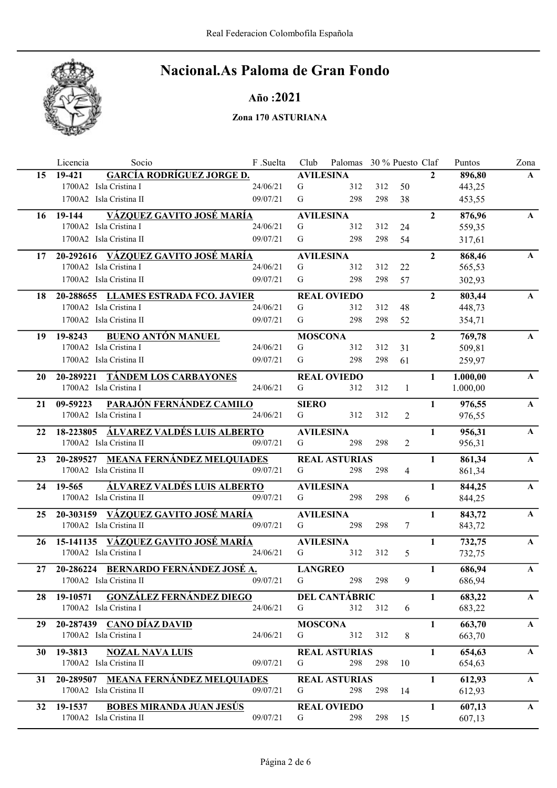

### Año :2021

|    | Licencia  | Socio                                |                                    | F .Suelta | Club             | Palomas 30 % Puesto Claf |     |                |                | Puntos   | Zona         |
|----|-----------|--------------------------------------|------------------------------------|-----------|------------------|--------------------------|-----|----------------|----------------|----------|--------------|
| 15 | 19-421    |                                      | GARCÍA RODRÍGUEZ JORGE D.          |           | <b>AVILESINA</b> |                          |     |                | $\mathbf{2}$   | 896,80   | $\mathbf{A}$ |
|    |           | 1700A2 Isla Cristina I               |                                    | 24/06/21  | G                | 312                      | 312 | 50             |                | 443,25   |              |
|    |           | 1700A2 Isla Cristina II              |                                    | 09/07/21  | G                | 298                      | 298 | 38             |                | 453,55   |              |
| 16 | 19-144    |                                      | VÁZQUEZ GAVITO JOSÉ MARÍA          |           | <b>AVILESINA</b> |                          |     |                | $\overline{2}$ | 876,96   | $\mathbf{A}$ |
|    |           | 1700A2 Isla Cristina I               |                                    | 24/06/21  | G                | 312                      | 312 | 24             |                | 559,35   |              |
|    |           | 1700A2 Isla Cristina II              |                                    | 09/07/21  | G                | 298                      | 298 | 54             |                | 317,61   |              |
| 17 |           | 20-292616 VÁZQUEZ GAVITO JOSÉ MARÍA  |                                    |           | <b>AVILESINA</b> |                          |     |                | $\overline{2}$ | 868,46   | $\mathbf{A}$ |
|    |           | 1700A2 Isla Cristina I               |                                    | 24/06/21  | G                | 312                      | 312 | 22             |                | 565,53   |              |
|    |           | 1700A2 Isla Cristina II              |                                    | 09/07/21  | G                | 298                      | 298 | 57             |                | 302,93   |              |
| 18 |           | 20-288655 LLAMES ESTRADA FCO. JAVIER |                                    |           |                  | <b>REAL OVIEDO</b>       |     |                | $\overline{2}$ | 803,44   | $\mathbf{A}$ |
|    |           | 1700A2 Isla Cristina I               |                                    | 24/06/21  | G                | 312                      | 312 | 48             |                | 448,73   |              |
|    |           | 1700A2 Isla Cristina II              |                                    | 09/07/21  | G                | 298                      | 298 | 52             |                | 354,71   |              |
| 19 | 19-8243   | <b>BUENO ANTÓN MANUEL</b>            |                                    |           | <b>MOSCONA</b>   |                          |     |                | $\overline{2}$ | 769,78   | $\mathbf{A}$ |
|    |           | 1700A2 Isla Cristina I               |                                    | 24/06/21  | G                | 312                      | 312 | 31             |                | 509,81   |              |
|    |           | 1700A2 Isla Cristina II              |                                    | 09/07/21  | G                | 298                      | 298 | 61             |                | 259,97   |              |
| 20 | 20-289221 | <b>TÁNDEM LOS CARBAYONES</b>         |                                    |           |                  | <b>REAL OVIEDO</b>       |     |                | $\mathbf{1}$   | 1.000,00 | $\mathbf{A}$ |
|    |           | 1700A2 Isla Cristina I               |                                    | 24/06/21  | G                | 312                      | 312 | 1              |                | 1.000,00 |              |
| 21 | 09-59223  |                                      | PARAJÓN FERNÁNDEZ CAMILO           |           | <b>SIERO</b>     |                          |     |                | 1              | 976,55   | $\mathbf{A}$ |
|    |           | 1700A2 Isla Cristina I               |                                    | 24/06/21  | G                | 312                      | 312 | $\overline{2}$ |                | 976,55   |              |
| 22 | 18-223805 | <u>ÁLVAREZ VALDÉS LUIS ALBERTO</u>   |                                    |           | <b>AVILESINA</b> |                          |     |                | $\mathbf{1}$   | 956,31   | $\mathbf{A}$ |
|    |           | 1700A2 Isla Cristina II              |                                    | 09/07/21  | G                | 298                      | 298 | $\overline{2}$ |                | 956,31   |              |
| 23 |           | 20-289527 MEANA FERNÁNDEZ MELQUIADES |                                    |           |                  | <b>REAL ASTURIAS</b>     |     |                | $\mathbf{1}$   | 861,34   | $\mathbf{A}$ |
|    |           | 1700A2 Isla Cristina II              |                                    | 09/07/21  | G                | 298                      | 298 | $\overline{4}$ |                | 861,34   |              |
| 24 | 19-565    |                                      | <u>ÁLVAREZ VALDÉS LUIS ALBERTO</u> |           | <b>AVILESINA</b> |                          |     |                | $\mathbf{1}$   | 844,25   | $\mathbf{A}$ |
|    |           | 1700A2 Isla Cristina II              |                                    | 09/07/21  | G                | 298                      | 298 | 6              |                | 844,25   |              |
| 25 |           | 20-303159 VÁZQUEZ GAVITO JOSÉ MARÍA  |                                    |           | <b>AVILESINA</b> |                          |     |                | $\mathbf{1}$   | 843,72   | $\mathbf{A}$ |
|    |           | 1700A2 Isla Cristina II              |                                    | 09/07/21  | G                | 298                      | 298 | 7              |                | 843,72   |              |
| 26 |           | 15-141135 VÁZQUEZ GAVITO JOSÉ MARÍA  |                                    |           | <b>AVILESINA</b> |                          |     |                | $\mathbf{1}$   | 732,75   | $\mathbf{A}$ |
|    |           | 1700A2 Isla Cristina I               |                                    | 24/06/21  | G                | 312                      | 312 | 5              |                | 732,75   |              |
| 27 |           | 20-286224 BERNARDO FERNÁNDEZ JOSÉ A. |                                    |           | <b>LANGREO</b>   |                          |     |                | $\mathbf{1}$   | 686,94   | $\mathbf A$  |
|    |           | 1700A2 Isla Cristina II              |                                    | 09/07/21  | G                | 298                      | 298 | 9              |                | 686,94   |              |
| 28 | 19-10571  |                                      | <b>GONZÁLEZ FERNÁNDEZ DIEGO</b>    |           |                  | <b>DEL CANTÁBRIC</b>     |     |                | 1              | 683,22   | $\mathbf{A}$ |
|    |           | 1700A2 Isla Cristina I               |                                    | 24/06/21  | G                | 312                      | 312 | 6              |                | 683,22   |              |
| 29 |           | 20-287439 CANO DÍAZ DAVID            |                                    |           | <b>MOSCONA</b>   |                          |     |                | $\mathbf{1}$   | 663,70   | $\mathbf{A}$ |
|    |           | 1700A2 Isla Cristina I               |                                    | 24/06/21  | G                | 312                      | 312 | 8              |                | 663,70   |              |
| 30 | 19-3813   | <b>NOZAL NAVA LUIS</b>               |                                    |           |                  | <b>REAL ASTURIAS</b>     |     |                | 1              | 654,63   | $\mathbf{A}$ |
|    |           | 1700A2 Isla Cristina II              |                                    | 09/07/21  | G                | 298                      | 298 | 10             |                | 654,63   |              |
| 31 |           | 20-289507 MEANA FERNÁNDEZ MELQUIADES |                                    |           |                  | <b>REAL ASTURIAS</b>     |     |                | 1              | 612,93   | $\mathbf{A}$ |
|    |           | 1700A2 Isla Cristina II              |                                    | 09/07/21  | G                | 298                      | 298 | 14             |                | 612,93   |              |
| 32 | 19-1537   |                                      | <b>BOBES MIRANDA JUAN JESÚS</b>    |           |                  | <b>REAL OVIEDO</b>       |     |                | $\mathbf{1}$   | 607,13   | $\mathbf{A}$ |
|    |           | 1700A2 Isla Cristina II              |                                    | 09/07/21  | G                | 298                      | 298 | 15             |                | 607,13   |              |
|    |           |                                      |                                    |           |                  |                          |     |                |                |          |              |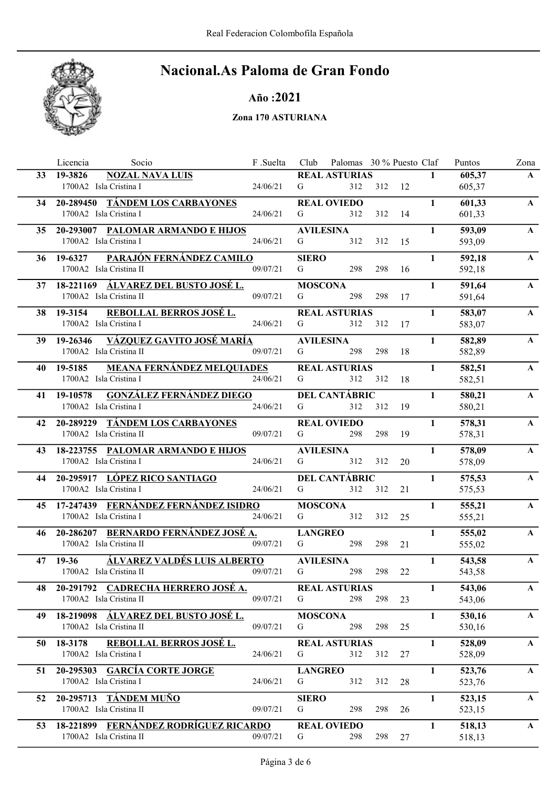

Año :2021

|    | Socio<br>Licencia                                                      | F .Suelta | Club                  | Palomas 30 % Puesto Claf    |     |    |              | Puntos           | Zona         |
|----|------------------------------------------------------------------------|-----------|-----------------------|-----------------------------|-----|----|--------------|------------------|--------------|
| 33 | <b>NOZAL NAVA LUIS</b><br>19-3826                                      |           |                       | <b>REAL ASTURIAS</b>        |     |    | $\mathbf{1}$ | 605,37           | $\mathbf{A}$ |
|    | 1700A2 Isla Cristina I                                                 | 24/06/21  | G                     | 312                         | 312 | 12 |              | 605,37           |              |
| 34 | 20-289450 TÁNDEM LOS CARBAYONES                                        |           |                       | <b>REAL OVIEDO</b>          |     |    | $\mathbf{1}$ | 601,33           | $\mathbf{A}$ |
|    | 1700A2 Isla Cristina I                                                 | 24/06/21  | G                     | 312                         | 312 | 14 |              | 601,33           |              |
| 35 | 20-293007 PALOMAR ARMANDO E HIJOS                                      |           | <b>AVILESINA</b>      |                             |     |    | $\mathbf{1}$ | 593,09           | $\mathbf{A}$ |
|    | 1700A2 Isla Cristina I                                                 | 24/06/21  | G                     | 312                         | 312 | 15 |              | 593,09           |              |
| 36 | PARAJÓN FERNÁNDEZ CAMILO<br>19-6327                                    |           | <b>SIERO</b>          |                             |     |    | $\mathbf{1}$ | 592,18           | $\mathbf{A}$ |
|    | 1700A2 Isla Cristina II                                                | 09/07/21  | G                     | 298                         | 298 | 16 |              | 592,18           |              |
|    | 37 18-221169 ÁLVAREZ DEL BUSTO JOSÉ L.                                 |           | <b>MOSCONA</b>        |                             |     |    | $\mathbf{1}$ | 591,64           | $\mathbf{A}$ |
|    | 1700A2 Isla Cristina II                                                | 09/07/21  | G                     | 298                         | 298 | 17 |              | 591,64           |              |
| 38 | <b>REBOLLAL BERROS JOSÉ L.</b><br>19-3154                              |           |                       | <b>REAL ASTURIAS</b>        |     |    | $\mathbf{1}$ | 583,07           | $\mathbf{A}$ |
|    | 1700A2 Isla Cristina I                                                 | 24/06/21  | G                     | 312                         | 312 | 17 |              | 583,07           |              |
|    |                                                                        |           |                       |                             |     |    | $\mathbf{1}$ |                  | $\mathbf{A}$ |
| 39 | 19-26346 VÁZQUEZ GAVITO JOSÉ MARÍA<br>1700A2 Isla Cristina II          | 09/07/21  | <b>AVILESINA</b><br>G | 298                         | 298 | 18 |              | 582,89<br>582,89 |              |
|    |                                                                        |           |                       |                             |     |    |              |                  |              |
| 40 | <b>MEANA FERNÁNDEZ MELQUIADES</b><br>19-5185<br>1700A2 Isla Cristina I | 24/06/21  | G                     | <b>REAL ASTURIAS</b><br>312 | 312 | 18 | $\mathbf{1}$ | 582,51           | $\mathbf{A}$ |
|    |                                                                        |           |                       |                             |     |    |              | 582,51           |              |
| 41 | <b>GONZÁLEZ FERNÁNDEZ DIEGO</b><br>19-10578                            |           |                       | <b>DEL CANTÁBRIC</b>        |     |    | $\mathbf{1}$ | 580,21           | $\mathbf{A}$ |
|    | 1700A2 Isla Cristina I                                                 | 24/06/21  | G                     | 312                         | 312 | 19 |              | 580,21           |              |
| 42 | 20-289229 TÁNDEM LOS CARBAYONES                                        |           |                       | <b>REAL OVIEDO</b>          |     |    | $\mathbf{1}$ | 578,31           | $\mathbf{A}$ |
|    | 1700A2 Isla Cristina II                                                | 09/07/21  | G                     | 298                         | 298 | 19 |              | 578,31           |              |
| 43 | 18-223755 PALOMAR ARMANDO E HIJOS                                      |           | <b>AVILESINA</b>      |                             |     |    | $\mathbf{1}$ | 578,09           | $\mathbf{A}$ |
|    | 1700A2 Isla Cristina I                                                 | 24/06/21  | G                     | 312                         | 312 | 20 |              | 578,09           |              |
| 44 | 20-295917 LÓPEZ RICO SANTIAGO                                          |           |                       | <b>DEL CANTÁBRIC</b>        |     |    | $\mathbf{1}$ | 575,53           | $\mathbf{A}$ |
|    | 1700A2 Isla Cristina I                                                 | 24/06/21  | G                     | 312                         | 312 | 21 |              | 575,53           |              |
| 45 | 17-247439 FERNÁNDEZ FERNÁNDEZ ISIDRO                                   |           | <b>MOSCONA</b>        |                             |     |    | $\mathbf{1}$ | 555,21           | $\mathbf{A}$ |
|    | 1700A2 Isla Cristina I                                                 | 24/06/21  | G                     | 312                         | 312 | 25 |              | 555,21           |              |
| 46 | 20-286207 BERNARDO FERNÁNDEZ JOSÉ A.                                   |           | <b>LANGREO</b>        |                             |     |    | 1            | 555,02           | $\mathbf{A}$ |
|    | 1700A2 Isla Cristina II                                                | 09/07/21  | G                     | 298                         | 298 | 21 |              | 555,02           |              |
| 47 | ÁLVAREZ VALDÉS LUIS ALBERTO<br>$19 - 36$                               |           | <b>AVILESINA</b>      |                             |     |    | $\mathbf{1}$ | 543,58           | $\mathbf{A}$ |
|    | 1700A2 Isla Cristina II                                                | 09/07/21  | G                     | 298                         | 298 | 22 |              | 543,58           |              |
| 48 | 20-291792 CADRECHA HERRERO JOSÉ A.                                     |           |                       | <b>REAL ASTURIAS</b>        |     |    | 1            | 543,06           | $\mathbf{A}$ |
|    | 1700A2 Isla Cristina II                                                | 09/07/21  | G                     | 298                         | 298 | 23 |              | 543,06           |              |
| 49 | 18-219098 ÁLVAREZ DEL BUSTO JOSÉ L.                                    |           | <b>MOSCONA</b>        |                             |     |    | $\mathbf{1}$ | 530,16           | $\mathbf{A}$ |
|    | 1700A2 Isla Cristina II                                                | 09/07/21  | G                     | 298                         | 298 | 25 |              | 530,16           |              |
|    |                                                                        |           |                       |                             |     |    |              |                  |              |
| 50 | REBOLLAL BERROS JOSÉ L.<br>18-3178<br>1700A2 Isla Cristina I           | 24/06/21  | G                     | <b>REAL ASTURIAS</b><br>312 | 312 | 27 | $\mathbf{1}$ | 528,09           | $\mathbf{A}$ |
|    |                                                                        |           |                       |                             |     |    |              | 528,09           |              |
| 51 | 20-295303 GARCÍA CORTE JORGE                                           |           | <b>LANGREO</b>        |                             |     |    | $\mathbf{1}$ | 523,76           | $\mathbf{A}$ |
|    | 1700A2 Isla Cristina I                                                 | 24/06/21  | G                     | 312                         | 312 | 28 |              | 523,76           |              |
| 52 | 20-295713 TÁNDEM MUÑO                                                  |           | <b>SIERO</b>          |                             |     |    | 1            | 523,15           | $\mathbf{A}$ |
|    | 1700A2 Isla Cristina II                                                | 09/07/21  | G                     | 298                         | 298 | 26 |              | 523,15           |              |
| 53 | 18-221899 FERNÁNDEZ RODRÍGUEZ RICARDO                                  |           |                       | <b>REAL OVIEDO</b>          |     |    | $\mathbf{1}$ | 518,13           | $\mathbf{A}$ |
|    | 1700A2 Isla Cristina II                                                | 09/07/21  | G                     | 298                         | 298 | 27 |              | 518,13           |              |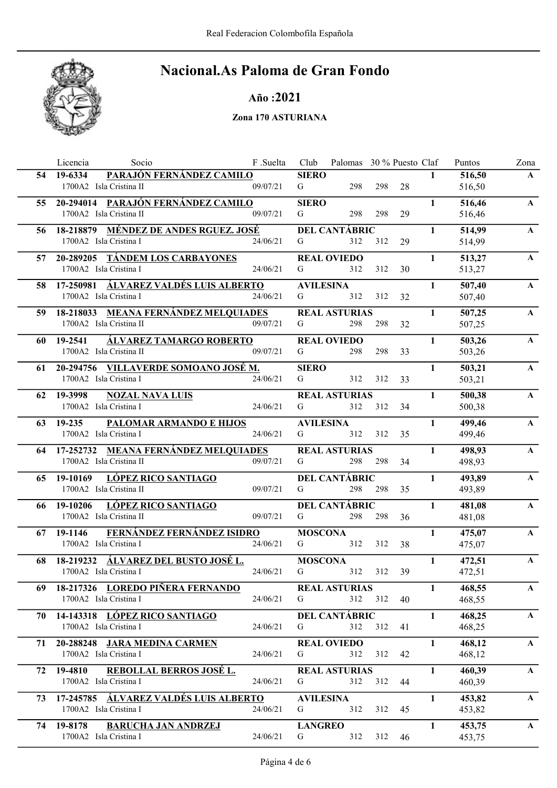

Año :2021

|     | Licencia<br>Socio                                                    | F.Suelta | Club             | Palomas 30 % Puesto Claf    |            |    |              | Puntos           | Zona         |
|-----|----------------------------------------------------------------------|----------|------------------|-----------------------------|------------|----|--------------|------------------|--------------|
| 54  | PARAJÓN FERNÁNDEZ CAMILO<br>19-6334                                  |          | <b>SIERO</b>     |                             |            |    | $\mathbf{1}$ | 516,50           | $\mathbf{A}$ |
|     | 1700A2 Isla Cristina II                                              | 09/07/21 | G                | 298                         | 298        | 28 |              | 516,50           |              |
| 55. | 20-294014 PARAJÓN FERNÁNDEZ CAMILO                                   |          | <b>SIERO</b>     |                             |            |    | $\mathbf{1}$ | 516,46           | $\mathbf{A}$ |
|     | 1700A2 Isla Cristina II                                              | 09/07/21 | G                | 298                         | 298        | 29 |              | 516,46           |              |
| 56. | 18-218879 MÉNDEZ DE ANDES RGUEZ. JOSÉ                                |          |                  | <b>DEL CANTÁBRIC</b>        |            |    | $\mathbf{1}$ | 514,99           | $\mathbf{A}$ |
|     | 1700A2 Isla Cristina I                                               | 24/06/21 | G                | 312                         | 312        | 29 |              | 514,99           |              |
| 57  | 20-289205 TÁNDEM LOS CARBAYONES                                      |          |                  | <b>REAL OVIEDO</b>          |            |    | $\mathbf{1}$ | 513,27           | $\mathbf{A}$ |
|     | 1700A2 Isla Cristina I                                               | 24/06/21 | G                | 312                         | 312        | 30 |              | 513,27           |              |
| 58. | 17-250981 <u>ÁLVAREZ VALDÉS LUIS ALBERTO</u>                         |          | <b>AVILESINA</b> |                             |            |    | $\mathbf{1}$ | 507,40           | $\mathbf{A}$ |
|     | 1700A2 Isla Cristina I                                               | 24/06/21 | G                | 312                         | 312        | 32 |              | 507,40           |              |
| 59. | 18-218033 MEANA FERNÁNDEZ MELQUIADES                                 |          |                  | <b>REAL ASTURIAS</b>        |            |    | $\mathbf{1}$ | 507,25           | $\mathbf{A}$ |
|     | 1700A2 Isla Cristina II                                              | 09/07/21 | G                | 298                         | 298        | 32 |              | 507,25           |              |
|     |                                                                      |          |                  |                             |            |    |              |                  |              |
| 60  | <b>ÁLVAREZ TAMARGO ROBERTO</b><br>19-2541<br>1700A2 Isla Cristina II | 09/07/21 | G                | <b>REAL OVIEDO</b><br>298   | 298        | 33 | $\mathbf{1}$ | 503,26<br>503,26 | $\mathbf{A}$ |
|     |                                                                      |          |                  |                             |            |    |              |                  |              |
| 61  | 20-294756 VILLAVERDE SOMOANO JOSÉ M.                                 |          | <b>SIERO</b>     |                             |            |    | $\mathbf{1}$ | 503,21           | $\mathbf{A}$ |
|     | 1700A2 Isla Cristina I                                               | 24/06/21 | G                | 312                         | 312        | 33 |              | 503,21           |              |
| 62  | 19-3998<br><b>NOZAL NAVA LUIS</b>                                    |          |                  | <b>REAL ASTURIAS</b>        |            |    | $\mathbf{1}$ | 500,38           | $\mathbf{A}$ |
|     | 1700A2 Isla Cristina I                                               | 24/06/21 | G                | 312                         | 312        | 34 |              | 500,38           |              |
| 63  | 19-235<br>PALOMAR ARMANDO E HIJOS                                    |          | <b>AVILESINA</b> |                             |            |    | 1            | 499,46           | $\mathbf{A}$ |
|     | 1700A2 Isla Cristina I                                               | 24/06/21 | G                | 312                         | 312        | 35 |              | 499,46           |              |
|     | 64 17-252732 MEANA FERNÁNDEZ MELQUIADES                              |          |                  | <b>REAL ASTURIAS</b>        |            |    | $\mathbf{1}$ | 498,93           | $\mathbf{A}$ |
|     | 1700A2 Isla Cristina II                                              | 09/07/21 | G                | 298                         | 298        | 34 |              | 498,93           |              |
| 65  | <b>LÓPEZ RICO SANTIAGO</b><br>19-10169                               |          |                  | <b>DEL CANTÁBRIC</b>        |            |    | $\mathbf{1}$ | 493,89           | $\mathbf{A}$ |
|     | 1700A2 Isla Cristina II                                              | 09/07/21 | G                | 298                         | 298        | 35 |              | 493,89           |              |
| 66  | <b>LÓPEZ RICO SANTIAGO</b><br>19-10206                               |          |                  | <b>DEL CANTÁBRIC</b>        |            |    | $\mathbf{1}$ | 481,08           | $\mathbf{A}$ |
|     | 1700A2 Isla Cristina II                                              | 09/07/21 | G                | 298                         | 298        | 36 |              | 481,08           |              |
| 67  | FERNÁNDEZ FERNÁNDEZ ISIDRO<br>19-1146                                |          | <b>MOSCONA</b>   |                             |            |    | $\mathbf{1}$ | 475,07           | $\mathbf{A}$ |
|     | 1700A2 Isla Cristina I                                               | 24/06/21 | G                | 312                         | 312        | 38 |              | 475,07           |              |
| 68  | 18-219232 ÁLVAREZ DEL BUSTO JOSÉ L.                                  |          | <b>MOSCONA</b>   |                             |            |    | $\mathbf{1}$ | 472,51           | $\mathbf{A}$ |
|     | 1700A2 Isla Cristina I                                               | 24/06/21 | G                | 312                         | 312        | 39 |              | 472,51           |              |
|     | 18-217326 LOREDO PIÑERA FERNANDO                                     |          |                  |                             |            |    |              |                  |              |
| 69. | 1700A2 Isla Cristina I                                               | 24/06/21 | G                | <b>REAL ASTURIAS</b>        | 312 312 40 |    | $\mathbf{1}$ | 468,55<br>468,55 | $\mathbf{A}$ |
|     |                                                                      |          |                  |                             |            |    |              |                  |              |
| 70  | 14-143318 LÓPEZ RICO SANTIAGO<br>1700A2 Isla Cristina I              | 24/06/21 | G                | <b>DEL CANTÁBRIC</b><br>312 | 312        | 41 | $\mathbf{1}$ | 468,25           | $\mathbf{A}$ |
|     |                                                                      |          |                  |                             |            |    |              | 468,25           |              |
| 71  | 20-288248 JARA MEDINA CARMEN                                         |          |                  | <b>REAL OVIEDO</b>          |            |    | $\mathbf{1}$ | 468,12           | $\mathbf{A}$ |
|     | 1700A2 Isla Cristina I                                               | 24/06/21 | G                | 312                         | 312        | 42 |              | 468,12           |              |
| 72  | 19-4810<br><b>REBOLLAL BERROS JOSÉ L.</b>                            |          |                  | <b>REAL ASTURIAS</b>        |            |    | $\mathbf{1}$ | 460,39           | $\mathbf{A}$ |
|     | 1700A2 Isla Cristina I                                               | 24/06/21 | G                | 312                         | 312        | 44 |              | 460,39           |              |
| 73  | 17-245785 ÁLVAREZ VALDÉS LUIS ALBERTO                                |          | <b>AVILESINA</b> |                             |            |    | $\mathbf{1}$ | 453,82           | $\mathbf{A}$ |
|     | 1700A2 Isla Cristina I                                               | 24/06/21 | G                | 312                         | 312        | 45 |              | 453,82           |              |
| 74  | 19-8178<br><b>BARUCHA JAN ANDRZEJ</b>                                |          | <b>LANGREO</b>   |                             |            |    | $\mathbf{1}$ | 453,75           | $\mathbf{A}$ |
|     | 1700A2 Isla Cristina I                                               | 24/06/21 | G                | 312                         | 312        | 46 |              | 453,75           |              |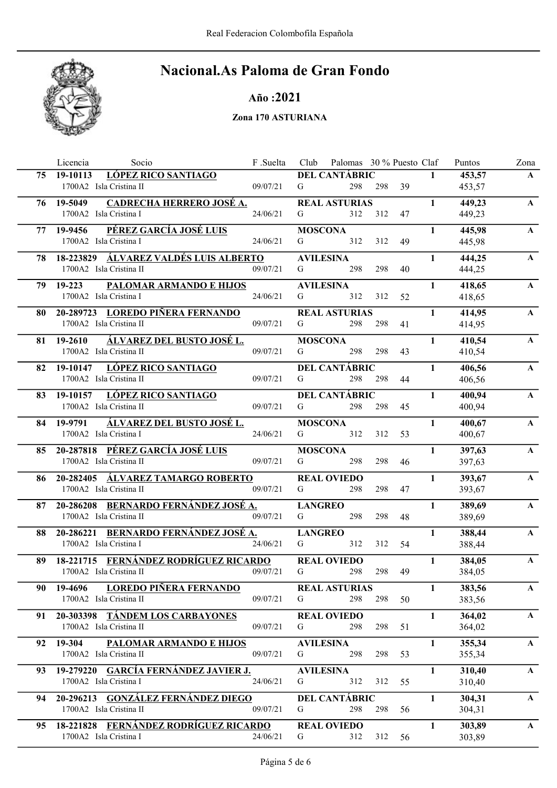

Año :2021

|     | Socio<br>Licencia                                           | F.Suelta | Club                | Palomas 30 % Puesto Claf |     |    |              | Puntos           | Zona         |
|-----|-------------------------------------------------------------|----------|---------------------|--------------------------|-----|----|--------------|------------------|--------------|
| 75  | <b>LÓPEZ RICO SANTIAGO</b><br>19-10113                      |          |                     | <b>DEL CANTÁBRIC</b>     |     |    | $\mathbf{1}$ | 453,57           | $\mathbf{A}$ |
|     | 1700A2 Isla Cristina II                                     | 09/07/21 | G                   | 298                      | 298 | 39 |              | 453,57           |              |
|     | CADRECHA HERRERO JOSÉ A.<br>76 19-5049                      |          |                     | <b>REAL ASTURIAS</b>     |     |    | 1            | 449,23           | $\mathbf{A}$ |
|     | 1700A2 Isla Cristina I                                      | 24/06/21 | G                   | 312                      | 312 | 47 |              | 449,23           |              |
| 77  | PÉREZ GARCÍA JOSÉ LUIS<br>19-9456                           |          | <b>MOSCONA</b>      |                          |     |    | $\mathbf{1}$ | 445,98           | $\mathbf{A}$ |
|     | 1700A2 Isla Cristina I                                      | 24/06/21 | G                   | 312                      | 312 | 49 |              | 445,98           |              |
|     | 18-223829 ÁLVAREZ VALDÉS LUIS ALBERTO                       |          | <b>AVILESINA</b>    |                          |     |    |              |                  | $\mathbf{A}$ |
| 78  | 1700A2 Isla Cristina II                                     | 09/07/21 | G                   | 298                      | 298 | 40 | $\mathbf{1}$ | 444,25<br>444,25 |              |
|     |                                                             |          |                     |                          |     |    |              |                  |              |
| 79  | 19-223<br><b>PALOMAR ARMANDO E HIJOS</b>                    |          | <b>AVILESINA</b>    |                          |     |    | $\mathbf{1}$ | 418,65           | $\mathbf{A}$ |
|     | 1700A2 Isla Cristina I                                      | 24/06/21 | G                   | 312                      | 312 | 52 |              | 418,65           |              |
| 80  | 20-289723 LOREDO PIÑERA FERNANDO                            |          |                     | <b>REAL ASTURIAS</b>     |     |    | $\mathbf{1}$ | 414,95           | $\mathbf{A}$ |
|     | 1700A2 Isla Cristina II                                     | 09/07/21 | G                   | 298                      | 298 | 41 |              | 414,95           |              |
| 81  | ÁLVAREZ DEL BUSTO JOSÉ L.<br>$19 - 2610$                    |          | <b>MOSCONA</b>      |                          |     |    | $\mathbf{1}$ | 410,54           | $\mathbf{A}$ |
|     | 1700A2 Isla Cristina II                                     | 09/07/21 | G                   | 298                      | 298 | 43 |              | 410,54           |              |
| 82  | <u>LÓPEZ RICO SANTIAGO</u><br>19-10147                      |          |                     | <b>DEL CANTÁBRIC</b>     |     |    | $\mathbf{1}$ | 406,56           | $\mathbf{A}$ |
|     | 1700A2 Isla Cristina II                                     | 09/07/21 | G                   | 298                      | 298 | 44 |              | 406,56           |              |
| 83  | <b>LÓPEZ RICO SANTIAGO</b><br>19-10157                      |          |                     | <b>DEL CANTÁBRIC</b>     |     |    | $\mathbf{1}$ | 400,94           | $\mathbf{A}$ |
|     | 1700A2 Isla Cristina II                                     | 09/07/21 | G                   | 298                      | 298 | 45 |              | 400,94           |              |
|     | ÁLVAREZ DEL BUSTO JOSÉ L.<br>19-9791                        |          |                     |                          |     |    | $\mathbf{1}$ | 400,67           | $\mathbf A$  |
| 84  | 1700A2 Isla Cristina I                                      | 24/06/21 | <b>MOSCONA</b><br>G | 312                      | 312 | 53 |              | 400,67           |              |
|     |                                                             |          |                     |                          |     |    |              |                  |              |
| 85. | 20-287818 PÉREZ GARCÍA JOSÉ LUIS<br>1700A2 Isla Cristina II | 09/07/21 | <b>MOSCONA</b><br>G | 298                      | 298 | 46 | 1            | 397,63           | $\mathbf{A}$ |
|     |                                                             |          |                     |                          |     |    |              | 397,63           |              |
| 86  | 20-282405 ÁLVAREZ TAMARGO ROBERTO                           |          |                     | <b>REAL OVIEDO</b>       |     |    | 1            | 393,67           | $\mathbf{A}$ |
|     | 1700A2 Isla Cristina II                                     | 09/07/21 | G                   | 298                      | 298 | 47 |              | 393,67           |              |
| 87  | 20-286208 BERNARDO FERNÁNDEZ JOSÉ A.                        |          | <b>LANGREO</b>      |                          |     |    | 1            | 389,69           | $\mathbf{A}$ |
|     | 1700A2 Isla Cristina II                                     | 09/07/21 | G                   | 298                      | 298 | 48 |              | 389,69           |              |
| 88  | 20-286221 BERNARDO FERNÁNDEZ JOSÉ A.                        |          | <b>LANGREO</b>      |                          |     |    | 1            | 388,44           | $\mathbf{A}$ |
|     | 1700A2 Isla Cristina I                                      | 24/06/21 | G                   | 312                      | 312 | 54 |              | 388,44           |              |
| 89  | 18-221715 FERNÁNDEZ RODRÍGUEZ RICARDO                       |          |                     | <b>REAL OVIEDO</b>       |     |    | $\mathbf{1}$ | 384,05           | $\mathbf A$  |
|     | 1700A2 Isla Cristina II                                     | 09/07/21 | G                   | 298                      | 298 | 49 |              | 384,05           |              |
| 90  | <b>LOREDO PIÑERA FERNANDO</b><br>19-4696                    |          |                     | <b>REAL ASTURIAS</b>     |     |    | 1            | 383,56           | $\mathbf{A}$ |
|     | 1700A2 Isla Cristina II                                     | 09/07/21 | G                   | 298                      | 298 | 50 |              | 383,56           |              |
| 91  | 20-303398 TÁNDEM LOS CARBAYONES                             |          |                     | <b>REAL OVIEDO</b>       |     |    | $\mathbf{1}$ | 364,02           | $\mathbf{A}$ |
|     | 1700A2 Isla Cristina II                                     | 09/07/21 | G                   | 298                      | 298 | 51 |              | 364,02           |              |
|     | 19-304                                                      |          | <b>AVILESINA</b>    |                          |     |    | $\mathbf{1}$ | 355,34           | $\mathbf{A}$ |
| 92  | <b>PALOMAR ARMANDO E HIJOS</b><br>1700A2 Isla Cristina II   | 09/07/21 | G                   | 298                      | 298 | 53 |              | 355,34           |              |
|     |                                                             |          |                     |                          |     |    |              |                  |              |
| 93  | 19-279220 GARCÍA FERNÁNDEZ JAVIER J.                        |          | <b>AVILESINA</b>    |                          |     |    | $\mathbf{1}$ | 310,40           | $\mathbf{A}$ |
|     | 1700A2 Isla Cristina I                                      | 24/06/21 | G                   | 312                      | 312 | 55 |              | 310,40           |              |
| 94  | 20-296213 GONZÁLEZ FERNÁNDEZ DIEGO                          |          |                     | <b>DEL CANTÁBRIC</b>     |     |    | $\mathbf{1}$ | 304,31           | $\mathbf{A}$ |
|     | 1700A2 Isla Cristina II                                     | 09/07/21 | G                   | 298                      | 298 | 56 |              | 304,31           |              |
| 95  | 18-221828 FERNÁNDEZ RODRÍGUEZ RICARDO                       |          |                     | <b>REAL OVIEDO</b>       |     |    | $\mathbf{1}$ | 303,89           | $\mathbf{A}$ |
|     | 1700A2 Isla Cristina I                                      | 24/06/21 | G                   | 312                      | 312 | 56 |              | 303,89           |              |